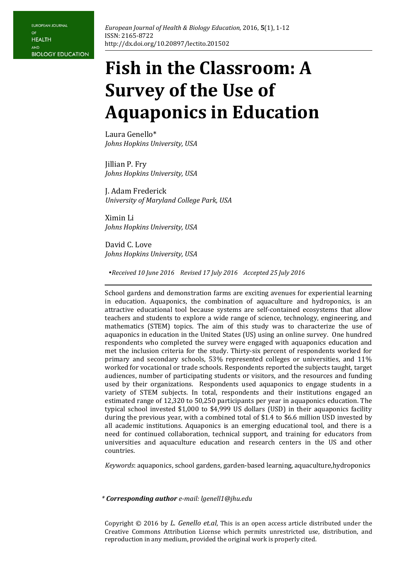# **Fish in the Classroom: A Survey of the Use of Aquaponics in Education**

Laura Genello\* *Johns Hopkins University, USA* 

Jillian P. Fry *Johns Hopkins University, USA* 

J. Adam Frederick *University of Maryland College Park, USA*

Ximin Li *Johns Hopkins University, USA*

David C. Love *Johns Hopkins University, USA*

*Received 10 June 2016 Revised 17 July 2016 Accepted 25 July 2016*

School gardens and demonstration farms are exciting avenues for experiential learning in education. Aquaponics, the combination of aquaculture and hydroponics, is an attractive educational tool because systems are self-contained ecosystems that allow teachers and students to explore a wide range of science, technology, engineering, and mathematics (STEM) topics. The aim of this study was to characterize the use of aquaponics in education in the United States (US) using an online survey. One hundred respondents who completed the survey were engaged with aquaponics education and met the inclusion criteria for the study. Thirty-six percent of respondents worked for primary and secondary schools, 53% represented colleges or universities, and 11% worked for vocational or trade schools. Respondents reported the subjects taught, target audiences, number of participating students or visitors, and the resources and funding used by their organizations. Respondents used aquaponics to engage students in a variety of STEM subjects. In total, respondents and their institutions engaged an estimated range of 12,320 to 50,250 participants per year in aquaponics education. The typical school invested \$1,000 to \$4,999 US dollars (USD) in their aquaponics facility during the previous year, with a combined total of \$1.4 to \$6.6 million USD invested by all academic institutions. Aquaponics is an emerging educational tool, and there is a need for continued collaboration, technical support, and training for educators from universities and aquaculture education and research centers in the US and other countries.

*Keywords*: aquaponics, school gardens, garden-based learning, aquaculture,hydroponics

*\* Corresponding author e-mail: lgenell1@jhu.edu*

Copyright © 2016 by *L. Genello et.al*, This is an open access article distributed under the Creative Commons Attribution License which permits unrestricted use, distribution, and reproduction in any medium, provided the original work is properly cited.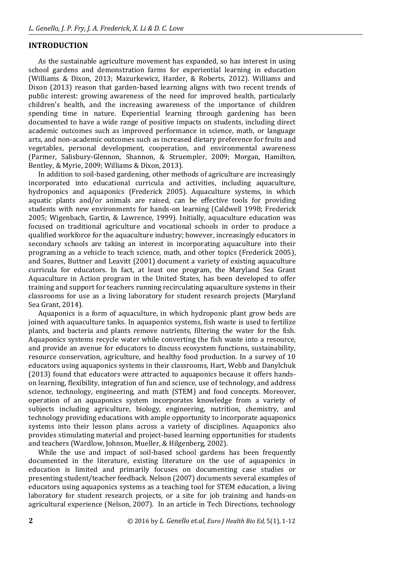# **INTRODUCTION**

As the sustainable agriculture movement has expanded, so has interest in using school gardens and demonstration farms for experiential learning in education (Williams & Dixon, 2013; Mazurkewicz, Harder, & Roberts, 2012). Williams and Dixon (2013) reason that garden-based learning aligns with two recent trends of public interest: growing awareness of the need for improved health, particularly children's health, and the increasing awareness of the importance of children spending time in nature. Experiential learning through gardening has been documented to have a wide range of positive impacts on students, including direct academic outcomes such as improved performance in science, math, or language arts, and non-academic outcomes such as increased dietary preference for fruits and vegetables, personal development, cooperation, and environmental awareness (Parmer, Salisbury-Glennon, Shannon, & Struempler, 2009; Morgan, Hamilton, Bentley, & Myrie, 2009; Williams & Dixon, 2013).

In addition to soil-based gardening, other methods of agriculture are increasingly incorporated into educational curricula and activities, including aquaculture, hydroponics and aquaponics (Frederick 2005). Aquaculture systems, in which aquatic plants and/or animals are raised, can be effective tools for providing students with new environments for hands-on learning (Caldwell 1998; Frederick 2005; Wigenbach, Gartin, & Lawrence, 1999). Initially, aquaculture education was focused on traditional agriculture and vocational schools in order to produce a qualified workforce for the aquaculture industry; however, increasingly educators in secondary schools are taking an interest in incorporating aquaculture into their programing as a vehicle to teach science, math, and other topics (Frederick 2005), and Soares, Buttner and Leavitt (2001) document a variety of existing aquaculture curricula for educators. In fact, at least one program, the Maryland Sea Grant Aquaculture in Action program in the United States, has been developed to offer training and support for teachers running recirculating aquaculture systems in their classrooms for use as a living laboratory for student research projects (Maryland Sea Grant, 2014).

Aquaponics is a form of aquaculture, in which hydroponic plant grow beds are joined with aquaculture tanks. In aquaponics systems, fish waste is used to fertilize plants, and bacteria and plants remove nutrients, filtering the water for the fish. Aquaponics systems recycle water while converting the fish waste into a resource, and provide an avenue for educators to discuss ecosystem functions, sustainability, resource conservation, agriculture, and healthy food production. In a survey of 10 educators using aquaponics systems in their classrooms, Hart, Webb and Danylchuk (2013) found that educators were attracted to aquaponics because it offers handson learning, flexibility, integration of fun and science, use of technology, and address science, technology, engineering, and math (STEM) and food concepts. Moreover, operation of an aquaponics system incorporates knowledge from a variety of subjects including agriculture, biology, engineering, nutrition, chemistry, and technology providing educations with ample opportunity to incorporate aquaponics systems into their lesson plans across a variety of disciplines. Aquaponics also provides stimulating material and project-based learning opportunities for students and teachers (Wardlow, Johnson, Mueller, & Hilgenberg, 2002).

While the use and impact of soil-based school gardens has been frequently documented in the literature, existing literature on the use of aquaponics in education is limited and primarily focuses on documenting case studies or presenting student/teacher feedback. Nelson (2007) documents several examples of educators using aquaponics systems as a teaching tool for STEM education, a living laboratory for student research projects, or a site for job training and hands-on agricultural experience (Nelson, 2007). In an article in Tech Directions, technology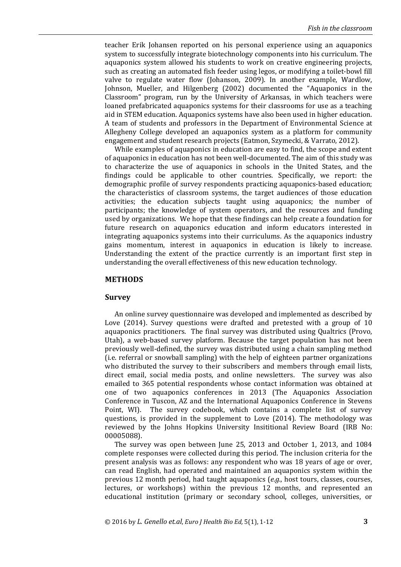teacher Erik Johansen reported on his personal experience using an aquaponics system to successfully integrate biotechnology components into his curriculum. The aquaponics system allowed his students to work on creative engineering projects, such as creating an automated fish feeder using legos, or modifying a toilet-bowl fill valve to regulate water flow (Johanson, 2009). In another example, Wardlow, Johnson, Mueller, and Hilgenberg (2002) documented the "Aquaponics in the Classroom" program, run by the University of Arkansas, in which teachers were loaned prefabricated aquaponics systems for their classrooms for use as a teaching aid in STEM education. Aquaponics systems have also been used in higher education. A team of students and professors in the Department of Environmental Science at Allegheny College developed an aquaponics system as a platform for community engagement and student research projects (Eatmon, Szymecki, & Varrato, 2012).

While examples of aquaponics in education are easy to find, the scope and extent of aquaponics in education has not been well-documented. The aim of this study was to characterize the use of aquaponics in schools in the United States, and the findings could be applicable to other countries. Specifically, we report: the demographic profile of survey respondents practicing aquaponics-based education; the characteristics of classroom systems, the target audiences of those education activities; the education subjects taught using aquaponics; the number of participants; the knowledge of system operators, and the resources and funding used by organizations. We hope that these findings can help create a foundation for future research on aquaponics education and inform educators interested in integrating aquaponics systems into their curriculums. As the aquaponics industry gains momentum, interest in aquaponics in education is likely to increase. Understanding the extent of the practice currently is an important first step in understanding the overall effectiveness of this new education technology.

## **METHODS**

#### **Survey**

An online survey questionnaire was developed and implemented as described by Love (2014). Survey questions were drafted and pretested with a group of 10 aquaponics practitioners. The final survey was distributed using Qualtrics (Provo, Utah), a web-based survey platform. Because the target population has not been previously well-defined, the survey was distributed using a chain sampling method (i.e. referral or snowball sampling) with the help of eighteen partner organizations who distributed the survey to their subscribers and members through email lists, direct email, social media posts, and online newsletters. The survey was also emailed to 365 potential respondents whose contact information was obtained at one of two aquaponics conferences in 2013 (The Aquaponics Association Conference in Tuscon, AZ and the International Aquaponics Conference in Stevens Point, WI). The survey codebook, which contains a complete list of survey questions, is provided in the supplement to Love (2014). The methodology was reviewed by the Johns Hopkins University Insititional Review Board (IRB No: 00005088).

The survey was open between June 25, 2013 and October 1, 2013, and 1084 complete responses were collected during this period. The inclusion criteria for the present analysis was as follows: any respondent who was 18 years of age or over, can read English, had operated and maintained an aquaponics system within the previous 12 month period, had taught aquaponics (*e.g.*, host tours, classes, courses, lectures, or workshops) within the previous 12 months, and represented an educational institution (primary or secondary school, colleges, universities, or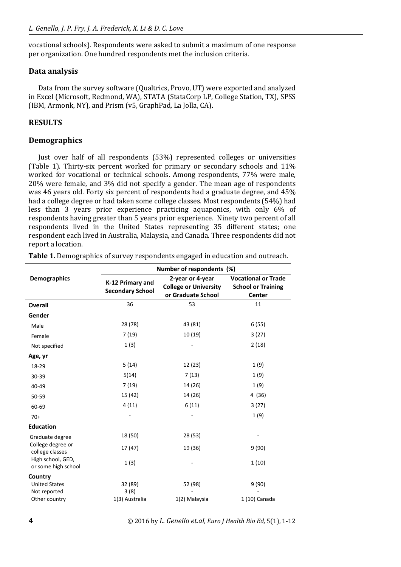vocational schools). Respondents were asked to submit a maximum of one response per organization. One hundred respondents met the inclusion criteria.

# **Data analysis**

Data from the survey software (Qualtrics, Provo, UT) were exported and analyzed in Excel (Microsoft, Redmond, WA), STATA (StataCorp LP, College Station, TX), SPSS (IBM, Armonk, NY), and Prism (v5, GraphPad, La Jolla, CA).

# **RESULTS**

# **Demographics**

Just over half of all respondents (53%) represented colleges or universities (Table 1). Thirty-six percent worked for primary or secondary schools and 11% worked for vocational or technical schools. Among respondents, 77% were male, 20% were female, and 3% did not specify a gender. The mean age of respondents was 46 years old. Forty six percent of respondents had a graduate degree, and 45% had a college degree or had taken some college classes. Most respondents (54%) had less than 3 years prior experience practicing aquaponics, with only 6% of respondents having greater than 5 years prior experience. Ninety two percent of all respondents lived in the United States representing 35 different states; one respondent each lived in Australia, Malaysia, and Canada. Three respondents did not report a location.

|                                                 | Number of respondents (%)                   |                                                                        |                                                                   |  |  |  |  |
|-------------------------------------------------|---------------------------------------------|------------------------------------------------------------------------|-------------------------------------------------------------------|--|--|--|--|
| <b>Demographics</b>                             | K-12 Primary and<br><b>Secondary School</b> | 2-year or 4-year<br><b>College or University</b><br>or Graduate School | <b>Vocational or Trade</b><br><b>School or Training</b><br>Center |  |  |  |  |
| <b>Overall</b>                                  | 36                                          | 53                                                                     | 11                                                                |  |  |  |  |
| Gender                                          |                                             |                                                                        |                                                                   |  |  |  |  |
| Male                                            | 28 (78)                                     | 43 (81)                                                                | 6(55)                                                             |  |  |  |  |
| Female                                          | 7(19)                                       | 10 (19)                                                                | 3(27)                                                             |  |  |  |  |
| Not specified                                   | 1(3)                                        |                                                                        | 2(18)                                                             |  |  |  |  |
| Age, yr                                         |                                             |                                                                        |                                                                   |  |  |  |  |
| 18-29                                           | 5(14)                                       | 12 (23)                                                                | 1(9)                                                              |  |  |  |  |
| 30-39                                           | 5(14)                                       | 7(13)                                                                  | 1(9)                                                              |  |  |  |  |
| 40-49                                           | 7(19)                                       | 14 (26)                                                                | 1(9)                                                              |  |  |  |  |
| 50-59                                           | 15 (42)                                     | 14 (26)                                                                | 4 (36)                                                            |  |  |  |  |
| 60-69                                           | 4(11)                                       | 6(11)                                                                  | 3(27)                                                             |  |  |  |  |
| $70+$                                           |                                             |                                                                        | 1(9)                                                              |  |  |  |  |
| <b>Education</b>                                |                                             |                                                                        |                                                                   |  |  |  |  |
| Graduate degree                                 | 18 (50)                                     | 28 (53)                                                                |                                                                   |  |  |  |  |
| College degree or<br>college classes            | 17 (47)                                     | 19 (36)                                                                | 9(90)                                                             |  |  |  |  |
| High school, GED,<br>or some high school        | 1(3)                                        |                                                                        | 1(10)                                                             |  |  |  |  |
| Country<br><b>United States</b><br>Not reported | 32 (89)<br>3(8)                             | 52 (98)                                                                | 9(90)                                                             |  |  |  |  |
| Other country                                   | 1(3) Australia                              | 1(2) Malaysia                                                          | 1 (10) Canada                                                     |  |  |  |  |

**Table 1.** Demographics of survey respondents engaged in education and outreach.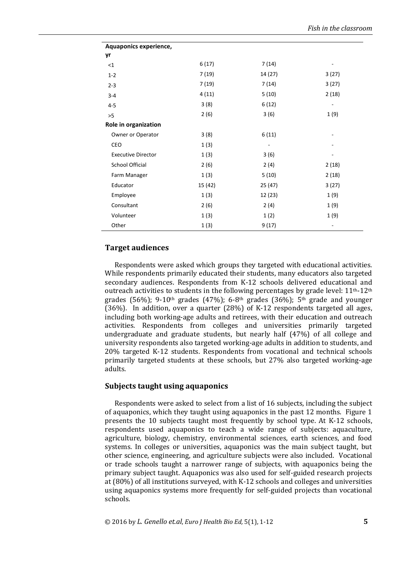| Aquaponics experience,    |         |         |                   |
|---------------------------|---------|---------|-------------------|
| yr                        |         |         |                   |
| <1                        | 6(17)   | 7(14)   |                   |
| $1 - 2$                   | 7(19)   | 14 (27) | 3(27)             |
| $2 - 3$                   | 7(19)   | 7(14)   | 3(27)             |
| $3 - 4$                   | 4(11)   | 5(10)   | 2(18)             |
| $4 - 5$                   | 3(8)    | 6(12)   |                   |
| >5                        | 2(6)    | 3(6)    | 1(9)              |
| Role in organization      |         |         |                   |
| Owner or Operator         | 3(8)    | 6(11)   |                   |
| CEO                       | 1(3)    |         |                   |
| <b>Executive Director</b> | 1(3)    | 3(6)    |                   |
| School Official           | 2(6)    | 2(4)    | 2(18)             |
| Farm Manager              | 1(3)    | 5(10)   | 2(18)             |
| Educator                  | 15 (42) | 25 (47) | 3(27)             |
| Employee                  | 1(3)    | 12 (23) | 1(9)              |
| Consultant                | 2(6)    | 2(4)    | 1(9)              |
| Volunteer                 | 1(3)    | 1(2)    | 1(9)              |
| Other                     | 1(3)    | 9(17)   | $\qquad \qquad -$ |

## **Target audiences**

Respondents were asked which groups they targeted with educational activities. While respondents primarily educated their students, many educators also targeted secondary audiences. Respondents from K-12 schools delivered educational and outreach activities to students in the following percentages by grade level:  $11<sup>th-12<sup>th</sup></sup>$ grades (56%); 9-10<sup>th</sup> grades (47%); 6-8<sup>th</sup> grades (36%); 5<sup>th</sup> grade and younger (36%). In addition, over a quarter (28%) of K-12 respondents targeted all ages, including both working-age adults and retirees, with their education and outreach activities. Respondents from colleges and universities primarily targeted undergraduate and graduate students, but nearly half (47%) of all college and university respondents also targeted working-age adults in addition to students, and 20% targeted K-12 students. Respondents from vocational and technical schools primarily targeted students at these schools, but 27% also targeted working-age adults.

## **Subjects taught using aquaponics**

Respondents were asked to select from a list of 16 subjects, including the subject of aquaponics, which they taught using aquaponics in the past 12 months. Figure 1 presents the 10 subjects taught most frequently by school type. At K-12 schools, respondents used aquaponics to teach a wide range of subjects: aquaculture, agriculture, biology, chemistry, environmental sciences, earth sciences, and food systems. In colleges or universities, aquaponics was the main subject taught, but other science, engineering, and agriculture subjects were also included. Vocational or trade schools taught a narrower range of subjects, with aquaponics being the primary subject taught. Aquaponics was also used for self-guided research projects at (80%) of all institutions surveyed, with K-12 schools and colleges and universities using aquaponics systems more frequently for self-guided projects than vocational schools.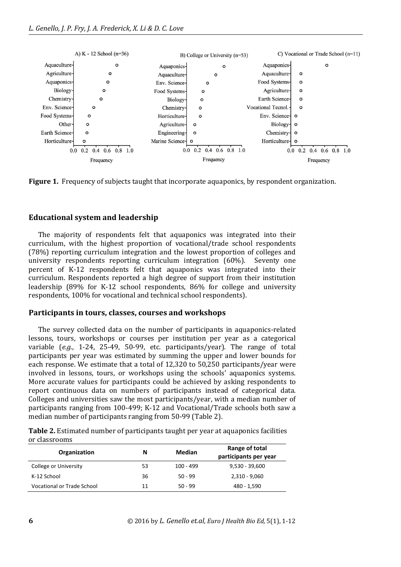

**Figure 1.** Frequency of subjects taught that incorporate aquaponics, by respondent organization.

### **Educational system and leadership**

The majority of respondents felt that aquaponics was integrated into their curriculum, with the highest proportion of vocational/trade school respondents (78%) reporting curriculum integration and the lowest proportion of colleges and university respondents reporting curriculum integration (60%). Seventy one percent of K-12 respondents felt that aquaponics was integrated into their curriculum. Respondents reported a high degree of support from their institution leadership (89% for K-12 school respondents, 86% for college and university respondents, 100% for vocational and technical school respondents).

## **Participants in tours, classes, courses and workshops**

The survey collected data on the number of participants in aquaponics-related lessons, tours, workshops or courses per institution per year as a categorical variable (*e.g.*, 1-24, 25-49, 50-99, etc. participants/year). The range of total participants per year was estimated by summing the upper and lower bounds for each response. We estimate that a total of 12,320 to 50,250 participants/year were involved in lessons, tours, or workshops using the schools' aquaponics systems. More accurate values for participants could be achieved by asking respondents to report continuous data on numbers of participants instead of categorical data. Colleges and universities saw the most participants/year, with a median number of participants ranging from 100-499; K-12 and Vocational/Trade schools both saw a median number of participants ranging from 50-99 (Table 2).

**Table 2.** Estimated number of participants taught per year at aquaponics facilities or classrooms

| Organization                      | N  | Median      | Range of total<br>participants per year |  |  |  |
|-----------------------------------|----|-------------|-----------------------------------------|--|--|--|
| College or University             | 53 | $100 - 499$ | $9,530 - 39,600$                        |  |  |  |
| K-12 School                       | 36 | $50 - 99$   | $2,310 - 9,060$                         |  |  |  |
| <b>Vocational or Trade School</b> | 11 | $50 - 99$   | 480 - 1,590                             |  |  |  |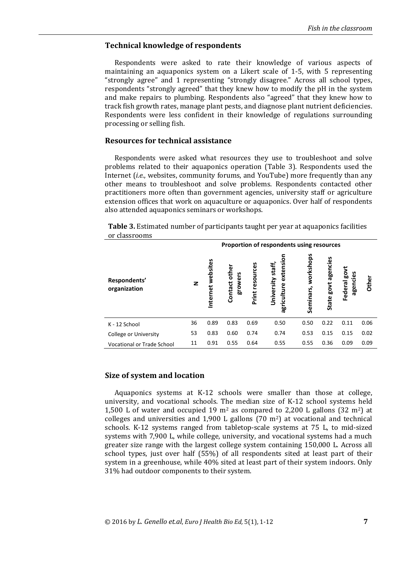## **Technical knowledge of respondents**

Respondents were asked to rate their knowledge of various aspects of maintaining an aquaponics system on a Likert scale of 1-5, with 5 representing "strongly agree" and 1 representing "strongly disagree." Across all school types, respondents "strongly agreed" that they knew how to modify the pH in the system and make repairs to plumbing. Respondents also "agreed" that they knew how to track fish growth rates, manage plant pests, and diagnose plant nutrient deficiencies. Respondents were less confident in their knowledge of regulations surrounding processing or selling fish.

### **Resources for technical assistance**

Respondents were asked what resources they use to troubleshoot and solve problems related to their aquaponics operation (Table 3). Respondents used the Internet (*i.e.*, websites, community forums, and YouTube) more frequently than any other means to troubleshoot and solve problems. Respondents contacted other practitioners more often than government agencies, university staff or agriculture extension offices that work on aquaculture or aquaponics. Over half of respondents also attended aquaponics seminars or workshops.

| ul classifuulis                   |                                           |                     |                             |                    |                                             |                        |                                  |                               |       |
|-----------------------------------|-------------------------------------------|---------------------|-----------------------------|--------------------|---------------------------------------------|------------------------|----------------------------------|-------------------------------|-------|
|                                   | Proportion of respondents using resources |                     |                             |                    |                                             |                        |                                  |                               |       |
| Respondents'<br>organization      | z                                         | websites<br>nternet | other<br>growers<br>Contact | resources<br>Print | extensio<br>University staff<br>agriculture | workshops<br>Seminars, | agencies<br>govt<br><b>State</b> | ς<br>δ<br>agencies<br>Federal | Other |
| K - 12 School                     | 36                                        | 0.89                | 0.83                        | 0.69               | 0.50                                        | 0.50                   | 0.22                             | 0.11                          | 0.06  |
| <b>College or University</b>      | 53                                        | 0.83                | 0.60                        | 0.74               | 0.74                                        | 0.53                   | 0.15                             | 0.15                          | 0.02  |
| <b>Vocational or Trade School</b> | 11                                        | 0.91                | 0.55                        | 0.64               | 0.55                                        | 0.55                   | 0.36                             | 0.09                          | 0.09  |

**Table 3.** Estimated number of participants taught per year at aquaponics facilities or classrooms

#### **Size of system and location**

Aquaponics systems at K-12 schools were smaller than those at college, university, and vocational schools. The median size of K-12 school systems held 1,500 L of water and occupied 19  $m<sup>2</sup>$  as compared to 2,200 L gallons (32  $m<sup>2</sup>$ ) at colleges and universities and 1,900 L gallons  $(70 \text{ m}^2)$  at vocational and technical schools. K-12 systems ranged from tabletop-scale systems at 75 L, to mid-sized systems with 7,900 L, while college, university, and vocational systems had a much greater size range with the largest college system containing 150,000 L. Across all school types, just over half (55%) of all respondents sited at least part of their system in a greenhouse, while 40% sited at least part of their system indoors. Only 31% had outdoor components to their system.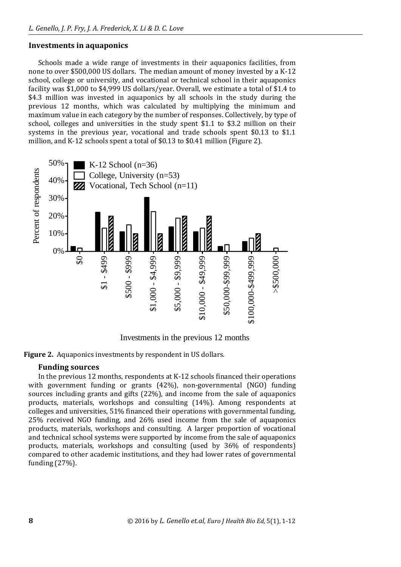# **Investments in aquaponics**

Schools made a wide range of investments in their aquaponics facilities, from none to over \$500,000 US dollars. The median amount of money invested by a K-12 school, college or university, and vocational or technical school in their aquaponics facility was \$1,000 to \$4,999 US dollars/year. Overall, we estimate a total of \$1.4 to \$4.3 million was invested in aquaponics by all schools in the study during the previous 12 months, which was calculated by multiplying the minimum and maximum value in each category by the number of responses. Collectively, by type of school, colleges and universities in the study spent \$1.1 to \$3.2 million on their systems in the previous year, vocational and trade schools spent \$0.13 to \$1.1 million, and K-12 schools spent a total of \$0.13 to \$0.41 million (Figure 2).



Investments in the previous 12 months

**Figure 2.** Aquaponics investments by respondent in US dollars.

# **Funding sources**

In the previous 12 months, respondents at K-12 schools financed their operations with government funding or grants (42%), non-governmental (NGO) funding sources including grants and gifts (22%), and income from the sale of aquaponics products, materials, workshops and consulting (14%). Among respondents at colleges and universities, 51% financed their operations with governmental funding, 25% received NGO funding, and 26% used income from the sale of aquaponics products, materials, workshops and consulting. A larger proportion of vocational and technical school systems were supported by income from the sale of aquaponics products, materials, workshops and consulting (used by 36% of respondents) compared to other academic institutions, and they had lower rates of governmental funding (27%).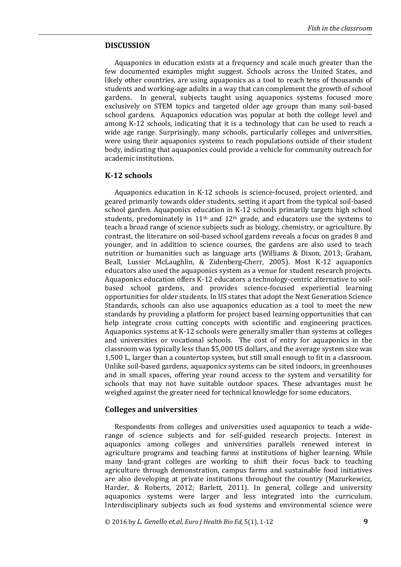## **DISCUSSION**

Aquaponics in education exists at a frequency and scale much greater than the few documented examples might suggest. Schools across the United States, and likely other countries, are using aquaponics as a tool to reach tens of thousands of students and working-age adults in a way that can complement the growth of school gardens. In general, subjects taught using aquaponics systems focused more exclusively on STEM topics and targeted older age groups than many soil-based school gardens. Aquaponics education was popular at both the college level and among K-12 schools, indicating that it is a technology that can be used to reach a wide age range. Surprisingly, many schools, particularly colleges and universities, were using their aquaponics systems to reach populations outside of their student body, indicating that aquaponics could provide a vehicle for community outreach for academic institutions.

## **K-12 schools**

Aquaponics education in K-12 schools is science-focused, project oriented, and geared primarily towards older students, setting it apart from the typical soil-based school garden. Aquaponics education in K-12 schools primarily targets high school students, predominately in  $11<sup>th</sup>$  and  $12<sup>th</sup>$  grade, and educators use the systems to teach a broad range of science subjects such as biology, chemistry, or agriculture. By contrast, the literature on soil-based school gardens reveals a focus on grades 8 and younger, and in addition to science courses, the gardens are also used to teach nutrition or humanities such as language arts (Williams & Dixon, 2013; Graham, Beall, Lussier McLaughlin, & Zidenberg-Cherr, 2005). Most K-12 aquaponics educators also used the aquaponics system as a venue for student research projects. Aquaponics education offers K-12 educators a technology-centric alternative to soilbased school gardens, and provides science-focused experiential learning opportunities for older students. In US states that adopt the Next Generation Science Standards, schools can also use aquaponics education as a tool to meet the new standards by providing a platform for project based learning opportunities that can help integrate cross cutting concepts with scientific and engineering practices. Aquaponics systems at K-12 schools were generally smaller than systems at colleges and universities or vocational schools. The cost of entry for aquaponics in the classroom was typically less than \$5,000 US dollars, and the average system size was 1,500 L, larger than a countertop system, but still small enough to fit in a classroom. Unlike soil-based gardens, aquaponics systems can be sited indoors, in greenhouses and in small spaces, offering year round access to the system and versatility for schools that may not have suitable outdoor spaces. These advantages must be weighed against the greater need for technical knowledge for some educators.

#### **Colleges and universities**

Respondents from colleges and universities used aquaponics to teach a widerange of science subjects and for self-guided research projects. Interest in aquaponics among colleges and universities parallels renewed interest in agriculture programs and teaching farms at institutions of higher learning. While many land-grant colleges are working to shift their focus back to teaching agriculture through demonstration, campus farms and sustainable food initiatives are also developing at private institutions throughout the country (Mazurkewicz, Harder, & Roberts, 2012; Barlett, 2011). In general, college and university aquaponics systems were larger and less integrated into the curriculum. Interdisciplinary subjects such as food systems and environmental science were

© 2016 by *L. Genello et.al*, *Euro J Health Bio Ed,* 5(1), 1-12 **9**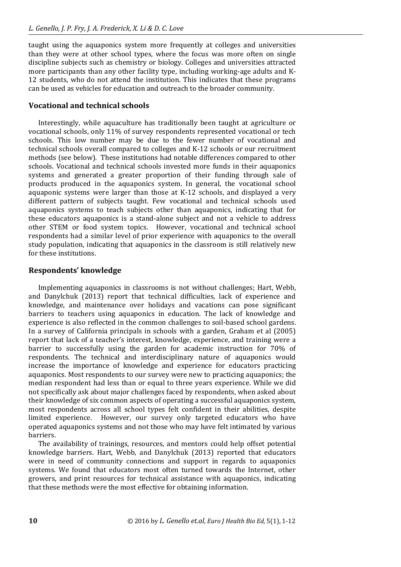taught using the aquaponics system more frequently at colleges and universities than they were at other school types, where the focus was more often on single discipline subjects such as chemistry or biology. Colleges and universities attracted more participants than any other facility type, including working-age adults and K-12 students, who do not attend the institution. This indicates that these programs can be used as vehicles for education and outreach to the broader community.

## **Vocational and technical schools**

Interestingly, while aquaculture has traditionally been taught at agriculture or vocational schools, only 11% of survey respondents represented vocational or tech schools. This low number may be due to the fewer number of vocational and technical schools overall compared to colleges and K-12 schools or our recruitment methods (see below). These institutions had notable differences compared to other schools. Vocational and technical schools invested more funds in their aquaponics systems and generated a greater proportion of their funding through sale of products produced in the aquaponics system. In general, the vocational school aquaponic systems were larger than those at K-12 schools, and displayed a very different pattern of subjects taught. Few vocational and technical schools used aquaponics systems to teach subjects other than aquaponics, indicating that for these educators aquaponics is a stand-alone subject and not a vehicle to address other STEM or food system topics. However, vocational and technical school respondents had a similar level of prior experience with aquaponics to the overall study population, indicating that aquaponics in the classroom is still relatively new for these institutions.

## **Respondents' knowledge**

Implementing aquaponics in classrooms is not without challenges; Hart, Webb, and Danylchuk (2013) report that technical difficulties, lack of experience and knowledge, and maintenance over holidays and vacations can pose significant barriers to teachers using aquaponics in education. The lack of knowledge and experience is also reflected in the common challenges to soil-based school gardens. In a survey of California principals in schools with a garden, Graham et al (2005) report that lack of a teacher's interest, knowledge, experience, and training were a barrier to successfully using the garden for academic instruction for 70% of respondents. The technical and interdisciplinary nature of aquaponics would increase the importance of knowledge and experience for educators practicing aquaponics. Most respondents to our survey were new to practicing aquaponics; the median respondent had less than or equal to three years experience. While we did not specifically ask about major challenges faced by respondents, when asked about their knowledge of six common aspects of operating a successful aquaponics system, most respondents across all school types felt confident in their abilities, despite limited experience. However, our survey only targeted educators who have operated aquaponics systems and not those who may have felt intimated by various barriers.

The availability of trainings, resources, and mentors could help offset potential knowledge barriers. Hart, Webb, and Danylchuk (2013) reported that educators were in need of community connections and support in regards to aquaponics systems. We found that educators most often turned towards the Internet, other growers, and print resources for technical assistance with aquaponics, indicating that these methods were the most effective for obtaining information.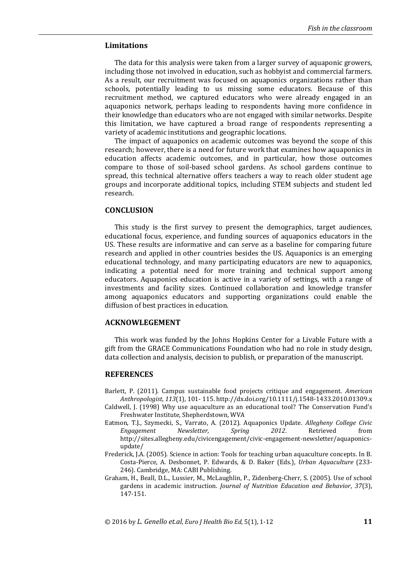## **Limitations**

The data for this analysis were taken from a larger survey of aquaponic growers, including those not involved in education, such as hobbyist and commercial farmers. As a result, our recruitment was focused on aquaponics organizations rather than schools, potentially leading to us missing some educators. Because of this recruitment method, we captured educators who were already engaged in an aquaponics network, perhaps leading to respondents having more confidence in their knowledge than educators who are not engaged with similar networks. Despite this limitation, we have captured a broad range of respondents representing a variety of academic institutions and geographic locations.

The impact of aquaponics on academic outcomes was beyond the scope of this research; however, there is a need for future work that examines how aquaponics in education affects academic outcomes, and in particular, how those outcomes compare to those of soil-based school gardens. As school gardens continue to spread, this technical alternative offers teachers a way to reach older student age groups and incorporate additional topics, including STEM subjects and student led research.

## **CONCLUSION**

This study is the first survey to present the demographics, target audiences, educational focus, experience, and funding sources of aquaponics educators in the US. These results are informative and can serve as a baseline for comparing future research and applied in other countries besides the US. Aquaponics is an emerging educational technology, and many participating educators are new to aquaponics, indicating a potential need for more training and technical support among educators. Aquaponics education is active in a variety of settings, with a range of investments and facility sizes. Continued collaboration and knowledge transfer among aquaponics educators and supporting organizations could enable the diffusion of best practices in education.

#### **ACKNOWLEGEMENT**

This work was funded by the Johns Hopkins Center for a Livable Future with a gift from the GRACE Communications Foundation who had no role in study design, data collection and analysis, decision to publish, or preparation of the manuscript.

#### **REFERENCES**

- Barlett, P. (2011). Campus sustainable food projects critique and engagement. *American Anthropologist*, *113*(1), 101- 115. http://dx.doi.org/10.1111/j.1548-1433.2010.01309.x
- Caldwell, J. (1998) Why use aquaculture as an educational tool? The Conservation Fund's Freshwater Institute, Shepherdstown, WVA
- Eatmon, T.J., Szymecki, S., Varrato, A. (2012). Aquaponics Update. *Allegheny College Civic Engagement Newsletter, Spring 2012*. Retrieved from http://sites.allegheny.edu/civicengagement/civic-engagement-newsletter/aquaponicsupdate/
- Frederick, J.A. (2005). Science in action: Tools for teaching urban aquaculture concepts. In B. Costa-Pierce, A. Desbonnet, P. Edwards, & D. Baker (Eds.), *Urban Aquaculture* (233- 246). Cambridge, MA: CABI Publishing.
- Graham, H., Beall, D.L., Lussier, M., McLaughlin, P., Zidenberg-Cherr, S. (2005). Use of school gardens in academic instruction. *Journal of Nutrition Education and Behavior*, *37*(3), 147-151.